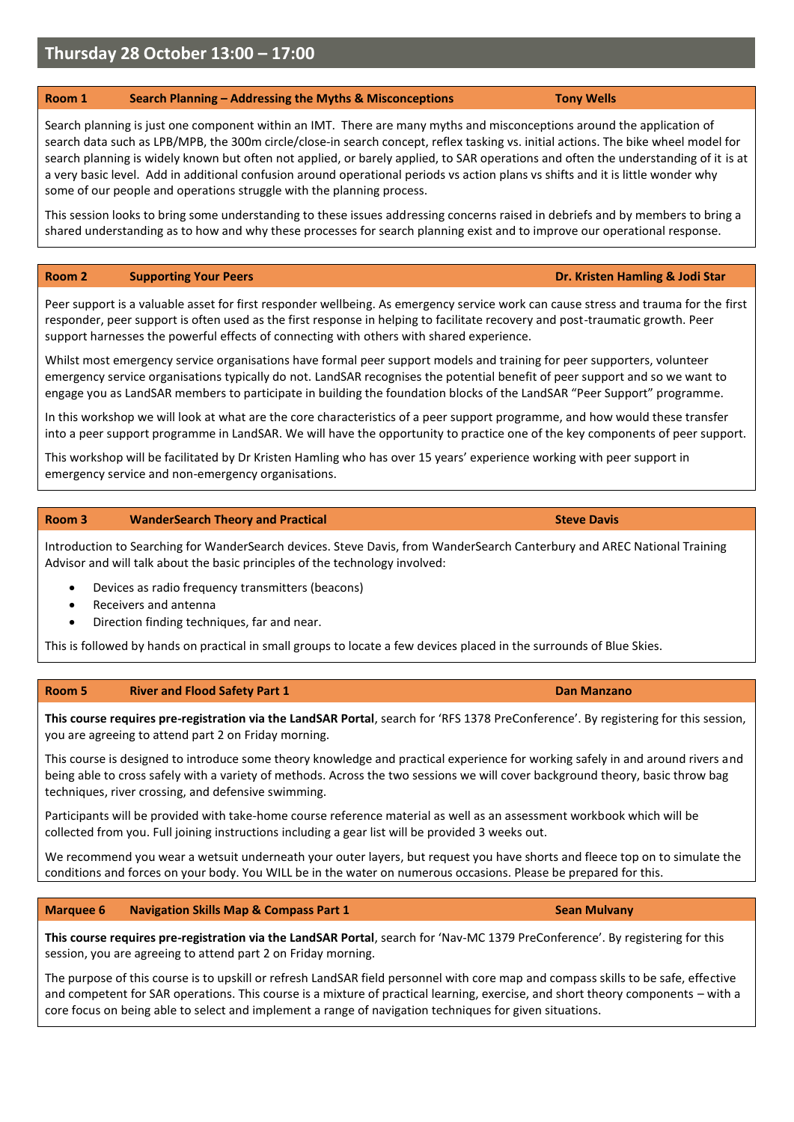# **Thursday 28 October 13:00 – 17:00**

## **Room 1 Search Planning – Addressing the Myths & Misconceptions Tony Wells**

Search planning is just one component within an IMT. There are many myths and misconceptions around the application of search data such as LPB/MPB, the 300m circle/close-in search concept, reflex tasking vs. initial actions. The bike wheel model for search planning is widely known but often not applied, or barely applied, to SAR operations and often the understanding of it is at a very basic level. Add in additional confusion around operational periods vs action plans vs shifts and it is little wonder why some of our people and operations struggle with the planning process.

This session looks to bring some understanding to these issues addressing concerns raised in debriefs and by members to bring a shared understanding as to how and why these processes for search planning exist and to improve our operational response.

### **Room 2 Supporting Your Peers Dr. Kristen Hamling & Jodi Star**

Peer support is a valuable asset for first responder wellbeing. As emergency service work can cause stress and trauma for the first responder, peer support is often used as the first response in helping to facilitate recovery and post-traumatic growth. Peer support harnesses the powerful effects of connecting with others with shared experience.

Whilst most emergency service organisations have formal peer support models and training for peer supporters, volunteer emergency service organisations typically do not. LandSAR recognises the potential benefit of peer support and so we want to engage you as LandSAR members to participate in building the foundation blocks of the LandSAR "Peer Support" programme.

In this workshop we will look at what are the core characteristics of a peer support programme, and how would these transfer into a peer support programme in LandSAR. We will have the opportunity to practice one of the key components of peer support.

This workshop will be facilitated by Dr Kristen Hamling who has over 15 years' experience working with peer support in emergency service and non-emergency organisations.

#### **Room 3 WanderSearch Theory and Practical Steve Davis** Steve Davis

Introduction to Searching for WanderSearch devices. Steve Davis, from WanderSearch Canterbury and AREC National Training Advisor and will talk about the basic principles of the technology involved:

- Devices as radio frequency transmitters (beacons)
- Receivers and antenna
- Direction finding techniques, far and near.

This is followed by hands on practical in small groups to locate a few devices placed in the surrounds of Blue Skies.

#### **Room 5 River and Flood Safety Part 1 Dan Manzano**

**This course requires pre-registration via the LandSAR Portal**, search for 'RFS 1378 PreConference'. By registering for this session, you are agreeing to attend part 2 on Friday morning.

This course is designed to introduce some theory knowledge and practical experience for working safely in and around rivers and being able to cross safely with a variety of methods. Across the two sessions we will cover background theory, basic throw bag techniques, river crossing, and defensive swimming.

Participants will be provided with take-home course reference material as well as an assessment workbook which will be collected from you. Full joining instructions including a gear list will be provided 3 weeks out.

We recommend you wear a wetsuit underneath your outer layers, but request you have shorts and fleece top on to simulate the conditions and forces on your body. You WILL be in the water on numerous occasions. Please be prepared for this.

**Marquee 6 Navigation Skills Map & Compass Part 1 Sean Mulvany** *Sean Mulvany* **Sean Mulvany Sean Mulvany Sean Mulvany Sean Mulvany Sean Mulvany Sean Mulvany Sean Mulvany Sean Mulvany Sean Mulvany Sea** 

**This course requires pre-registration via the LandSAR Portal**, search for 'Nav-MC 1379 PreConference'. By registering for this session, you are agreeing to attend part 2 on Friday morning.

The purpose of this course is to upskill or refresh LandSAR field personnel with core map and compass skills to be safe, effective and competent for SAR operations. This course is a mixture of practical learning, exercise, and short theory components – with a core focus on being able to select and implement a range of navigation techniques for given situations.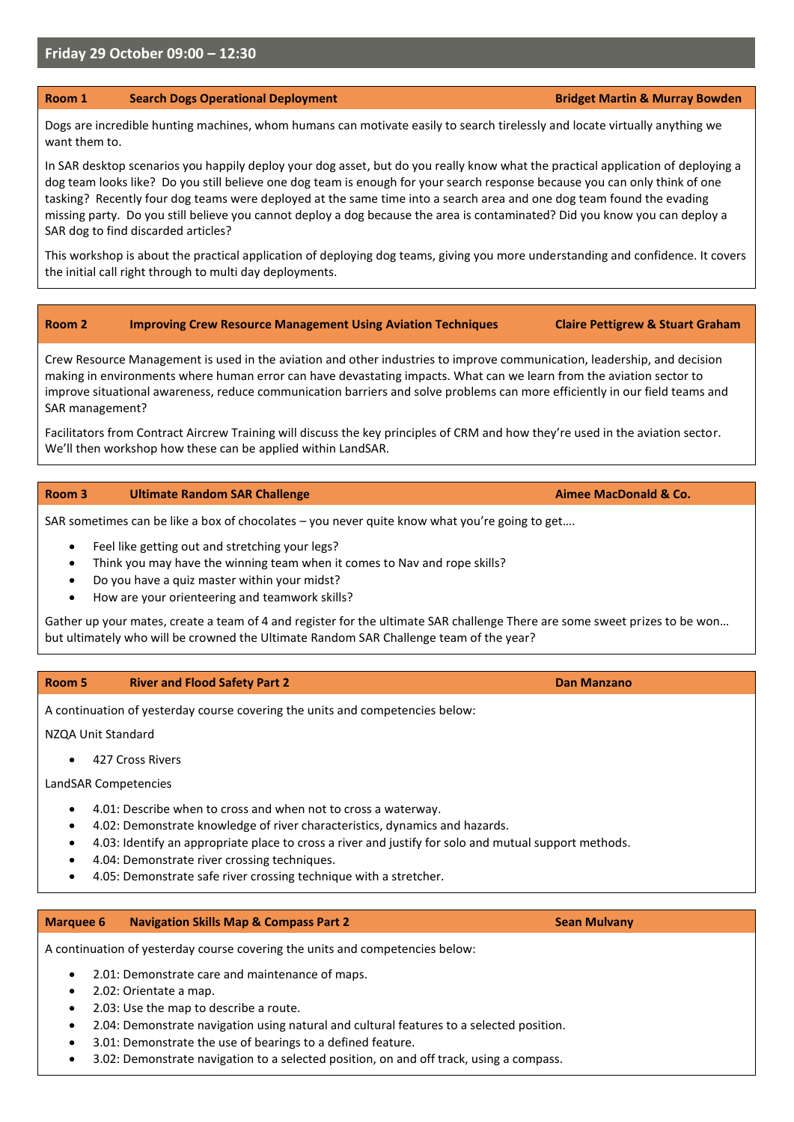## **Friday 29 October 09:00 – 12:30**

#### **Room 1 Search Dogs Operational Deployment Bridget Martin & Murray Bowden**

Dogs are incredible hunting machines, whom humans can motivate easily to search tirelessly and locate virtually anything we want them to.

In SAR desktop scenarios you happily deploy your dog asset, but do you really know what the practical application of deploying a dog team looks like? Do you still believe one dog team is enough for your search response because you can only think of one tasking? Recently four dog teams were deployed at the same time into a search area and one dog team found the evading missing party. Do you still believe you cannot deploy a dog because the area is contaminated? Did you know you can deploy a SAR dog to find discarded articles?

This workshop is about the practical application of deploying dog teams, giving you more understanding and confidence. It covers the initial call right through to multi day deployments.

## **Room 2 Improving Crew Resource Management Using Aviation Techniques Claire Pettigrew & Stuart Graham**

Crew Resource Management is used in the aviation and other industries to improve communication, leadership, and decision making in environments where human error can have devastating impacts. What can we learn from the aviation sector to improve situational awareness, reduce communication barriers and solve problems can more efficiently in our field teams and SAR management?

Facilitators from Contract Aircrew Training will discuss the key principles of CRM and how they're used in the aviation sector. We'll then workshop how these can be applied within LandSAR.

#### **Room 3 Ultimate Random SAR Challenge Aimee MacDonald & Co. Aimee MacDonald & Co.**

SAR sometimes can be like a box of chocolates – you never quite know what you're going to get….

- Feel like getting out and stretching your legs?
- Think you may have the winning team when it comes to Nav and rope skills?
- Do you have a quiz master within your midst?
- How are your orienteering and teamwork skills?

Gather up your mates, create a team of 4 and register for the ultimate SAR challenge There are some sweet prizes to be won… but ultimately who will be crowned the Ultimate Random SAR Challenge team of the year?

#### **Room 5 River and Flood Safety Part 2 Dan Manzano**

A continuation of yesterday course covering the units and competencies below:

NZQA Unit Standard

• 427 Cross Rivers

LandSAR Competencies

- 4.01: Describe when to cross and when not to cross a waterway.
- 4.02: Demonstrate knowledge of river characteristics, dynamics and hazards.
- 4.03: Identify an appropriate place to cross a river and justify for solo and mutual support methods.
- 4.04: Demonstrate river crossing techniques.
- 4.05: Demonstrate safe river crossing technique with a stretcher.

#### **Marquee 6 Navigation Skills Map & Compass Part 2 Sean Mulvany** *Sean Mulvany* **Sean Mulvany Sean Mulvany Sean Mulvany**

A continuation of yesterday course covering the units and competencies below:

- 2.01: Demonstrate care and maintenance of maps.
- 2.02: Orientate a map.
- 2.03: Use the map to describe a route.
- 2.04: Demonstrate navigation using natural and cultural features to a selected position.
- 3.01: Demonstrate the use of bearings to a defined feature.
- 3.02: Demonstrate navigation to a selected position, on and off track, using a compass.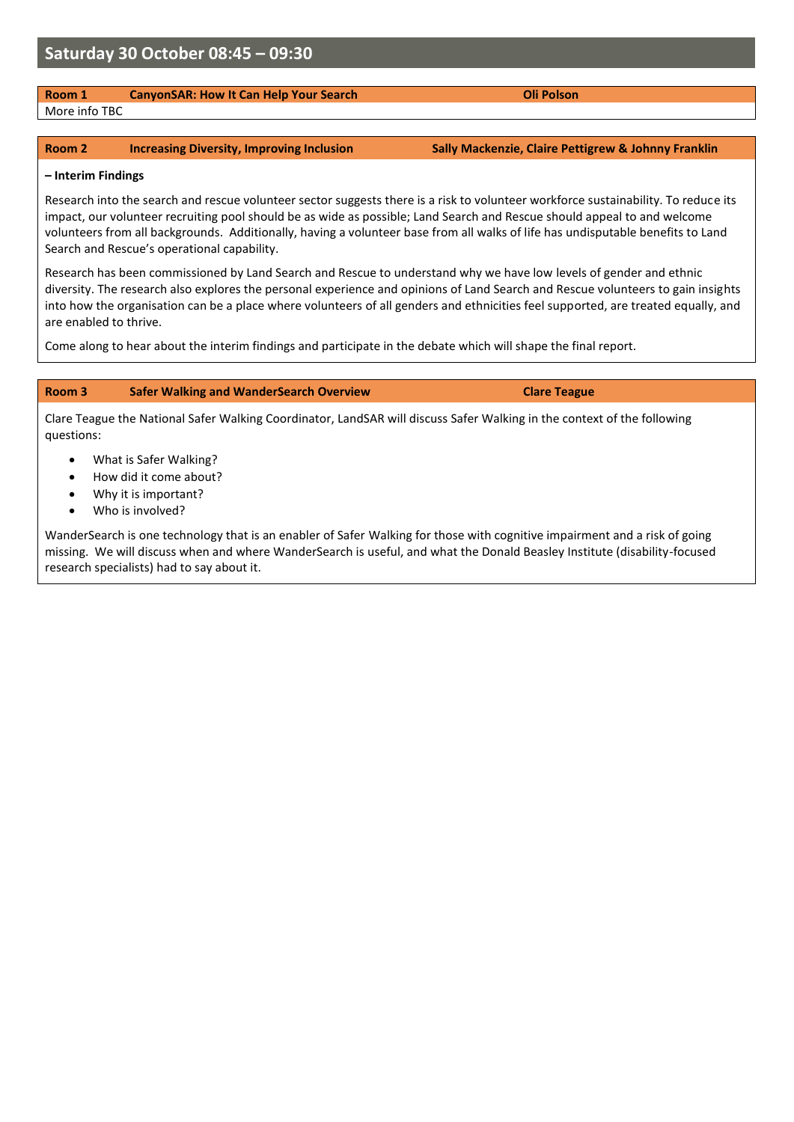# **Room 1 CanyonSAR: How It Can Help Your Search Can Access 2018 Oli Polson**

More info TBC

#### **Room 2 Increasing Diversity, Improving Inclusion Sally Mackenzie, Claire Pettigrew & Johnny Franklin**

#### **– Interim Findings**

Research into the search and rescue volunteer sector suggests there is a risk to volunteer workforce sustainability. To reduce its impact, our volunteer recruiting pool should be as wide as possible; Land Search and Rescue should appeal to and welcome volunteers from all backgrounds. Additionally, having a volunteer base from all walks of life has undisputable benefits to Land Search and Rescue's operational capability.

Research has been commissioned by Land Search and Rescue to understand why we have low levels of gender and ethnic diversity. The research also explores the personal experience and opinions of Land Search and Rescue volunteers to gain insights into how the organisation can be a place where volunteers of all genders and ethnicities feel supported, are treated equally, and are enabled to thrive.

Come along to hear about the interim findings and participate in the debate which will shape the final report.

### **Room 3 Safer Walking and WanderSearch Overview Clare Teague**

Clare Teague the National Safer Walking Coordinator, LandSAR will discuss Safer Walking in the context of the following questions:

- What is Safer Walking?
- How did it come about?
- Why it is important?
- Who is involved?

WanderSearch is one technology that is an enabler of Safer Walking for those with cognitive impairment and a risk of going missing. We will discuss when and where WanderSearch is useful, and what the Donald Beasley Institute (disability-focused research specialists) had to say about it.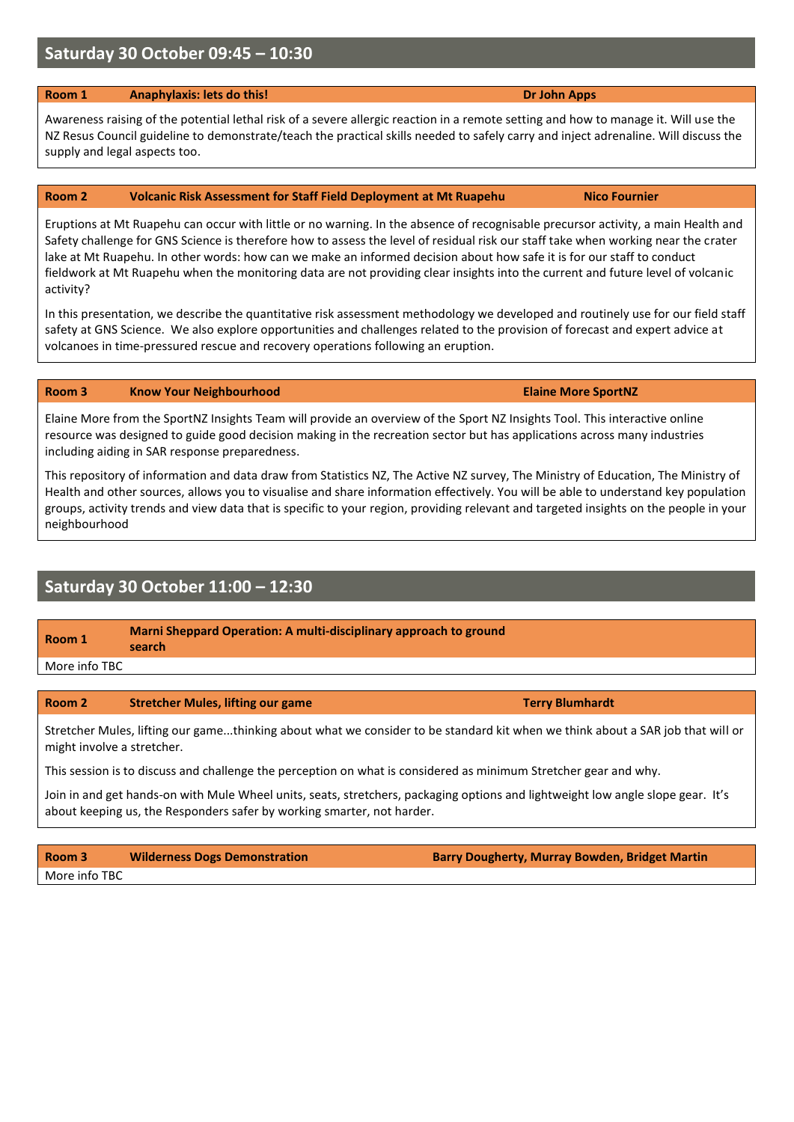# **Saturday 30 October 09:45 – 10:30**

## **Room 1 Anaphylaxis: lets do this! Dr John Apps Dr John Apps**

Awareness raising of the potential lethal risk of a severe allergic reaction in a remote setting and how to manage it. Will use the NZ Resus Council guideline to demonstrate/teach the practical skills needed to safely carry and inject adrenaline. Will discuss the supply and legal aspects too.

## **Room 2 Volcanic Risk Assessment for Staff Field Deployment at Mt Ruapehu <b>Nico Fournier**

Eruptions at Mt Ruapehu can occur with little or no warning. In the absence of recognisable precursor activity, a main Health and Safety challenge for GNS Science is therefore how to assess the level of residual risk our staff take when working near the crater lake at Mt Ruapehu. In other words: how can we make an informed decision about how safe it is for our staff to conduct fieldwork at Mt Ruapehu when the monitoring data are not providing clear insights into the current and future level of volcanic activity?

In this presentation, we describe the quantitative risk assessment methodology we developed and routinely use for our field staff safety at GNS Science. We also explore opportunities and challenges related to the provision of forecast and expert advice at volcanoes in time-pressured rescue and recovery operations following an eruption.

## **Room 3 Know Your Neighbourhood Elaine More SportNZ**

Elaine More from the SportNZ Insights Team will provide an overview of the Sport NZ Insights Tool. This interactive online resource was designed to guide good decision making in the recreation sector but has applications across many industries including aiding in SAR response preparedness.

This repository of information and data draw from Statistics NZ, The Active NZ survey, The Ministry of Education, The Ministry of Health and other sources, allows you to visualise and share information effectively. You will be able to understand key population groups, activity trends and view data that is specific to your region, providing relevant and targeted insights on the people in your neighbourhood

# **Saturday 30 October 11:00 – 12:30**

| Room 1 | Marni Sheppard Operation: A multi-disciplinary approach to ground |
|--------|-------------------------------------------------------------------|
|        | المالدين لدالم                                                    |

**search** More info TBC

# **Room 2 Stretcher Mules, lifting our game Terry Blumhardt Terry Blumhardt**

Stretcher Mules, lifting our game...thinking about what we consider to be standard kit when we think about a SAR job that will or might involve a stretcher.

This session is to discuss and challenge the perception on what is considered as minimum Stretcher gear and why.

Join in and get hands-on with Mule Wheel units, seats, stretchers, packaging options and lightweight low angle slope gear. It's about keeping us, the Responders safer by working smarter, not harder.

| Room 3        | <b>Wilderness Dogs Demonstration</b> | <b>Barry Dougherty, Murray Bowden, Bridget Martin</b> |
|---------------|--------------------------------------|-------------------------------------------------------|
| More info TBC |                                      |                                                       |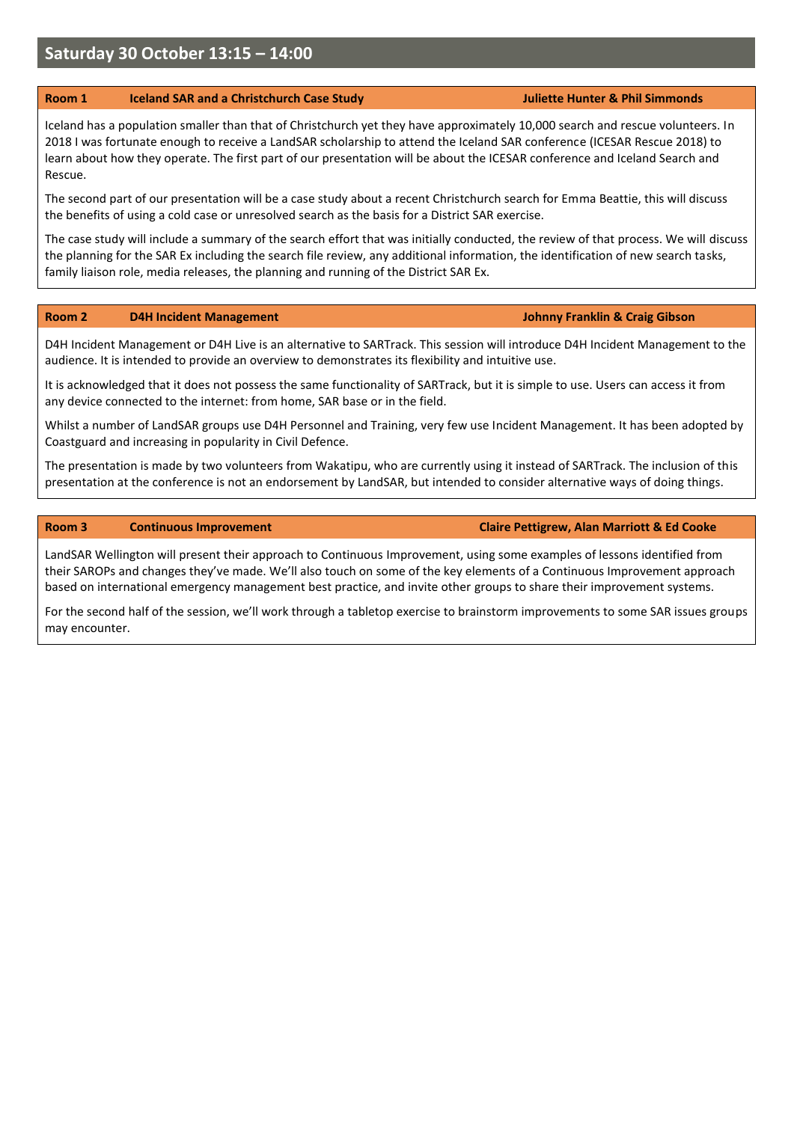# **Saturday 30 October 13:15 – 14:00**

#### **Room 1 Iceland SAR and a Christchurch Case Study Juliette Hunter & Phil Simmonds**

Iceland has a population smaller than that of Christchurch yet they have approximately 10,000 search and rescue volunteers. In 2018 I was fortunate enough to receive a LandSAR scholarship to attend the Iceland SAR conference (ICESAR Rescue 2018) to learn about how they operate. The first part of our presentation will be about the ICESAR conference and Iceland Search and Rescue.

The second part of our presentation will be a case study about a recent Christchurch search for Emma Beattie, this will discuss the benefits of using a cold case or unresolved search as the basis for a District SAR exercise.

The case study will include a summary of the search effort that was initially conducted, the review of that process. We will discuss the planning for the SAR Ex including the search file review, any additional information, the identification of new search tasks, family liaison role, media releases, the planning and running of the District SAR Ex.

#### **Room 2 D4H Incident Management Johnny Franklin & Craig Gibson**

D4H Incident Management or D4H Live is an alternative to SARTrack. This session will introduce D4H Incident Management to the audience. It is intended to provide an overview to demonstrates its flexibility and intuitive use.

It is acknowledged that it does not possess the same functionality of SARTrack, but it is simple to use. Users can access it from any device connected to the internet: from home, SAR base or in the field.

Whilst a number of LandSAR groups use D4H Personnel and Training, very few use Incident Management. It has been adopted by Coastguard and increasing in popularity in Civil Defence.

The presentation is made by two volunteers from Wakatipu, who are currently using it instead of SARTrack. The inclusion of this presentation at the conference is not an endorsement by LandSAR, but intended to consider alternative ways of doing things.

#### **Room 3 Continuous Improvement Claire Pettigrew, Alan Marriott & Ed Cooke**

LandSAR Wellington will present their approach to Continuous Improvement, using some examples of lessons identified from their SAROPs and changes they've made. We'll also touch on some of the key elements of a Continuous Improvement approach based on international emergency management best practice, and invite other groups to share their improvement systems.

For the second half of the session, we'll work through a tabletop exercise to brainstorm improvements to some SAR issues groups may encounter.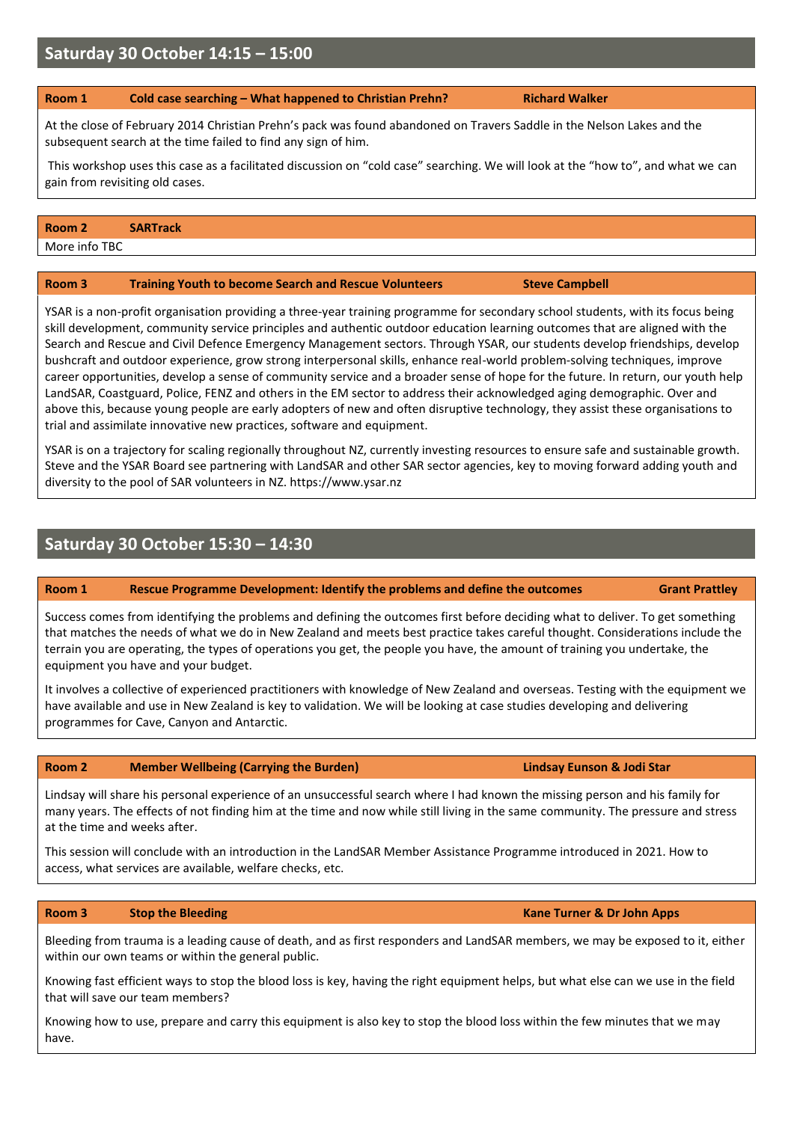# **Saturday 30 October 14:15 – 15:00**

#### **Room 1 Cold case searching – What happened to Christian Prehn? Richard Walker**

At the close of February 2014 Christian Prehn's pack was found abandoned on Travers Saddle in the Nelson Lakes and the subsequent search at the time failed to find any sign of him.

This workshop uses this case as a facilitated discussion on "cold case" searching. We will look at the "how to", and what we can gain from revisiting old cases.

#### **Room 2 SARTrack**

More info TBC

### **Room 3 Training Youth to become Search and Rescue Volunteers Steve Campbell**

YSAR is a non-profit organisation providing a three-year training programme for secondary school students, with its focus being skill development, community service principles and authentic outdoor education learning outcomes that are aligned with the Search and Rescue and Civil Defence Emergency Management sectors. Through YSAR, our students develop friendships, develop bushcraft and outdoor experience, grow strong interpersonal skills, enhance real-world problem-solving techniques, improve career opportunities, develop a sense of community service and a broader sense of hope for the future. In return, our youth help LandSAR, Coastguard, Police, FENZ and others in the EM sector to address their acknowledged aging demographic. Over and above this, because young people are early adopters of new and often disruptive technology, they assist these organisations to trial and assimilate innovative new practices, software and equipment.

YSAR is on a trajectory for scaling regionally throughout NZ, currently investing resources to ensure safe and sustainable growth. Steve and the YSAR Board see partnering with LandSAR and other SAR sector agencies, key to moving forward adding youth and diversity to the pool of SAR volunteers in NZ. https://www.ysar.nz

# **Saturday 30 October 15:30 – 14:30**

### **Room 1 Rescue Programme Development: Identify the problems and define the outcomes Grant Prattley**

Success comes from identifying the problems and defining the outcomes first before deciding what to deliver. To get something that matches the needs of what we do in New Zealand and meets best practice takes careful thought. Considerations include the terrain you are operating, the types of operations you get, the people you have, the amount of training you undertake, the equipment you have and your budget.

It involves a collective of experienced practitioners with knowledge of New Zealand and overseas. Testing with the equipment we have available and use in New Zealand is key to validation. We will be looking at case studies developing and delivering programmes for Cave, Canyon and Antarctic.

### **Room 2 Member Wellbeing (Carrying the Burden) Lindsay Eunson & Jodi Star**

Lindsay will share his personal experience of an unsuccessful search where I had known the missing person and his family for many years. The effects of not finding him at the time and now while still living in the same community. The pressure and stress at the time and weeks after.

This session will conclude with an introduction in the LandSAR Member Assistance Programme introduced in 2021. How to access, what services are available, welfare checks, etc.

#### **Room 3 Stop the Bleeding Kane Turner** *Room 3* **<b>Kane Turner** & Dr John Apps

Bleeding from trauma is a leading cause of death, and as first responders and LandSAR members, we may be exposed to it, either within our own teams or within the general public.

Knowing fast efficient ways to stop the blood loss is key, having the right equipment helps, but what else can we use in the field that will save our team members?

Knowing how to use, prepare and carry this equipment is also key to stop the blood loss within the few minutes that we may have.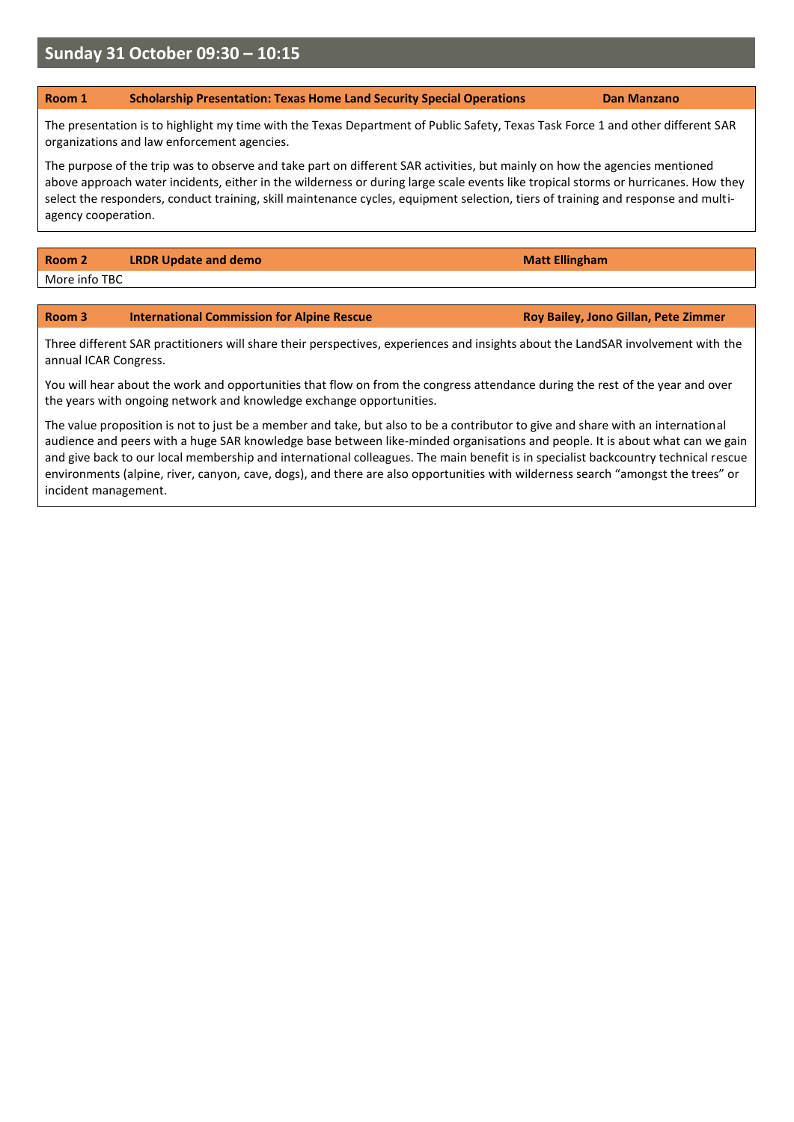# **Sunday 31 October 09:30 – 10:15**

### **Room 1 Scholarship Presentation: Texas Home Land Security Special Operations Dan Manzano**

The presentation is to highlight my time with the Texas Department of Public Safety, Texas Task Force 1 and other different SAR organizations and law enforcement agencies.

The purpose of the trip was to observe and take part on different SAR activities, but mainly on how the agencies mentioned above approach water incidents, either in the wilderness or during large scale events like tropical storms or hurricanes. How they select the responders, conduct training, skill maintenance cycles, equipment selection, tiers of training and response and multiagency cooperation.

**Room 2 LRDR Update and demo Matt Ellingham <b>Matt Ellingham** More info TBC

### **Room 3 International Commission for Alpine Rescue** Roy Bailey, Jono Gillan, Pete Zimmer

Three different SAR practitioners will share their perspectives, experiences and insights about the LandSAR involvement with the annual ICAR Congress.

You will hear about the work and opportunities that flow on from the congress attendance during the rest of the year and over the years with ongoing network and knowledge exchange opportunities.

The value proposition is not to just be a member and take, but also to be a contributor to give and share with an international audience and peers with a huge SAR knowledge base between like-minded organisations and people. It is about what can we gain and give back to our local membership and international colleagues. The main benefit is in specialist backcountry technical rescue environments (alpine, river, canyon, cave, dogs), and there are also opportunities with wilderness search "amongst the trees" or incident management.